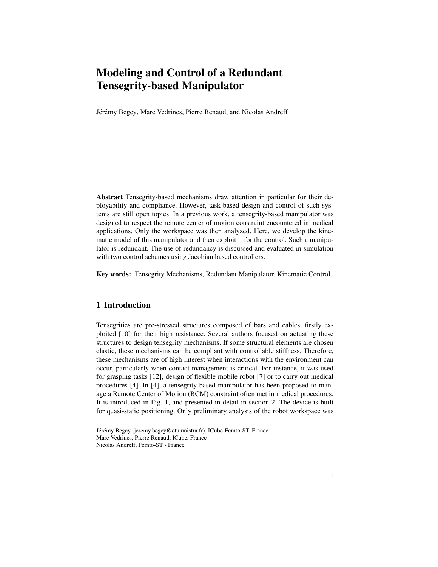# Modeling and Control of a Redundant Tensegrity-based Manipulator

Jérémy Begey, Marc Vedrines, Pierre Renaud, and Nicolas Andreff

Abstract Tensegrity-based mechanisms draw attention in particular for their deployability and compliance. However, task-based design and control of such systems are still open topics. In a previous work, a tensegrity-based manipulator was designed to respect the remote center of motion constraint encountered in medical applications. Only the workspace was then analyzed. Here, we develop the kinematic model of this manipulator and then exploit it for the control. Such a manipulator is redundant. The use of redundancy is discussed and evaluated in simulation with two control schemes using Jacobian based controllers.

Key words: Tensegrity Mechanisms, Redundant Manipulator, Kinematic Control.

## 1 Introduction

Tensegrities are pre-stressed structures composed of bars and cables, firstly exploited [10] for their high resistance. Several authors focused on actuating these structures to design tensegrity mechanisms. If some structural elements are chosen elastic, these mechanisms can be compliant with controllable stiffness. Therefore, these mechanisms are of high interest when interactions with the environment can occur, particularly when contact management is critical. For instance, it was used for grasping tasks [12], design of flexible mobile robot [7] or to carry out medical procedures [4]. In [4], a tensegrity-based manipulator has been proposed to manage a Remote Center of Motion (RCM) constraint often met in medical procedures. It is introduced in Fig. 1, and presented in detail in section 2. The device is built for quasi-static positioning. Only preliminary analysis of the robot workspace was

Jérémy Begey (jeremy.begey@etu.unistra.fr), ICube-Femto-ST, France Marc Vedrines, Pierre Renaud, ICube, France

Nicolas Andreff, Femto-ST - France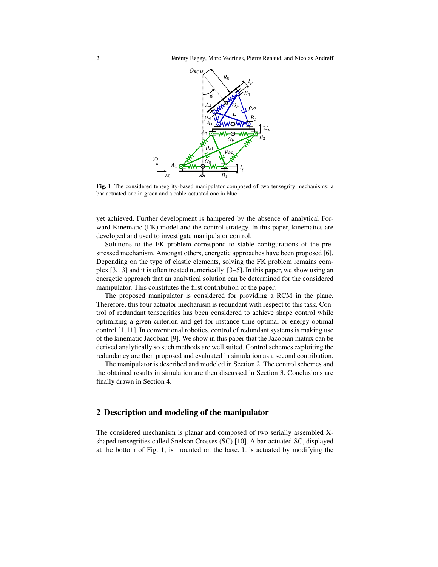2 Jérémy Begey, Marc Vedrines, Pierre Renaud, and Nicolas Andreff



Fig. 1 The considered tensegrity-based manipulator composed of two tensegrity mechanisms: a bar-actuated one in green and a cable-actuated one in blue.

yet achieved. Further development is hampered by the absence of analytical Forward Kinematic (FK) model and the control strategy. In this paper, kinematics are developed and used to investigate manipulator control.

Solutions to the FK problem correspond to stable configurations of the prestressed mechanism. Amongst others, energetic approaches have been proposed [6]. Depending on the type of elastic elements, solving the FK problem remains complex [3,13] and it is often treated numerically [3–5]. In this paper, we show using an energetic approach that an analytical solution can be determined for the considered manipulator. This constitutes the first contribution of the paper.

The proposed manipulator is considered for providing a RCM in the plane. Therefore, this four actuator mechanism is redundant with respect to this task. Control of redundant tensegrities has been considered to achieve shape control while optimizing a given criterion and get for instance time-optimal or energy-optimal control [1,11]. In conventional robotics, control of redundant systems is making use of the kinematic Jacobian [9]. We show in this paper that the Jacobian matrix can be derived analytically so such methods are well suited. Control schemes exploiting the redundancy are then proposed and evaluated in simulation as a second contribution.

The manipulator is described and modeled in Section 2. The control schemes and the obtained results in simulation are then discussed in Section 3. Conclusions are finally drawn in Section 4.

#### 2 Description and modeling of the manipulator

The considered mechanism is planar and composed of two serially assembled Xshaped tensegrities called Snelson Crosses (SC) [10]. A bar-actuated SC, displayed at the bottom of Fig. 1, is mounted on the base. It is actuated by modifying the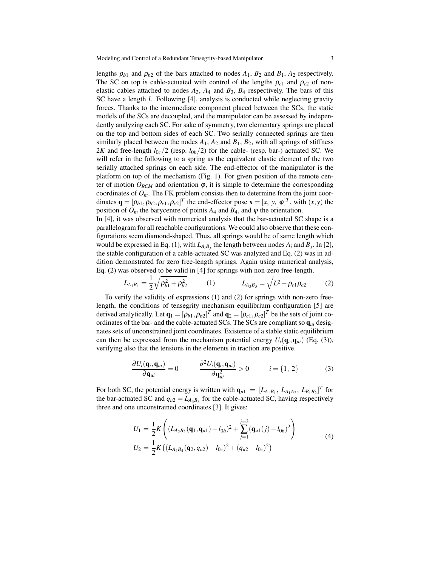lengths  $\rho_{b1}$  and  $\rho_{b2}$  of the bars attached to nodes  $A_1$ ,  $B_2$  and  $B_1$ ,  $A_2$  respectively. The SC on top is cable-actuated with control of the lengths  $\rho_{c1}$  and  $\rho_{c2}$  of nonelastic cables attached to nodes  $A_3$ ,  $A_4$  and  $B_3$ ,  $B_4$  respectively. The bars of this SC have a length *L*. Following [4], analysis is conducted while neglecting gravity forces. Thanks to the intermediate component placed between the SCs, the static models of the SCs are decoupled, and the manipulator can be assessed by independently analyzing each SC. For sake of symmetry, two elementary springs are placed on the top and bottom sides of each SC. Two serially connected springs are then similarly placed between the nodes  $A_1$ ,  $A_2$  and  $B_1$ ,  $B_2$ , with all springs of stiffness 2*K* and free-length  $l_{0c}/2$  (resp.  $l_{0b}/2$ ) for the cable- (resp. bar-) actuated SC. We will refer in the following to a spring as the equivalent elastic element of the two serially attached springs on each side. The end-effector of the manipulator is the platform on top of the mechanism (Fig. 1). For given position of the remote center of motion  $O_{RCM}$  and orientation  $\varphi$ , it is simple to determine the corresponding coordinates of  $O_m$ . The FK problem consists then to determine from the joint coordinates  $\mathbf{q} = [\rho_{b1}, \rho_{b2}, \rho_{c1}, \rho_{c2}]^T$  the end-effector pose  $\mathbf{x} = [x, y, \varphi]^T$ , with  $(x, y)$  the position of  $O_m$  the barycentre of points  $A_4$  and  $B_4$ , and  $\varphi$  the orientation.

In [4], it was observed with numerical analysis that the bar-actuated SC shape is a parallelogram for all reachable configurations. We could also observe that these configurations seem diamond-shaped. Thus, all springs would be of same length which would be expressed in Eq. (1), with  $L_{A_iB_j}$  the length between nodes  $A_i$  and  $B_j$ . In [2], the stable configuration of a cable-actuated SC was analyzed and Eq. (2) was in addition demonstrated for zero free-length springs. Again using numerical analysis, Eq. (2) was observed to be valid in [4] for springs with non-zero free-length.

$$
L_{A_1B_1} = \frac{1}{2} \sqrt{\rho_{b1}^2 + \rho_{b2}^2}
$$
 (1) 
$$
L_{A_3B_3} = \sqrt{L^2 - \rho_{c1}\rho_{c2}}
$$
 (2)

To verify the validity of expressions (1) and (2) for springs with non-zero freelength, the conditions of tensegrity mechanism equilibrium configuration [5] are derived analytically. Let  $\mathbf{q}_1 = [\rho_{b1}, \rho_{b2}]^T$  and  $\mathbf{q}_2 = [\rho_{c1}, \rho_{c2}]^T$  be the sets of joint coordinates of the bar- and the cable-actuated SCs. The SCs are compliant so  $q_{ui}$  designates sets of unconstrained joint coordinates. Existence of a stable static equilibrium can then be expressed from the mechanism potential energy  $U_i(\mathbf{q}_i, \mathbf{q}_{ui})$  (Eq. (3)), verifying also that the tensions in the elements in traction are positive.

$$
\frac{\partial U_i(\mathbf{q}_i, \mathbf{q}_{ui})}{\partial \mathbf{q}_{ui}} = 0 \qquad \frac{\partial^2 U_i(\mathbf{q}_i, \mathbf{q}_{ui})}{\partial \mathbf{q}_{ui}^2} > 0 \qquad i = \{1, 2\}
$$
(3)

For both SC, the potential energy is written with  $\mathbf{q}_{u1} = [L_{A_1B_1}, L_{A_1A_2}, L_{B_1B_2}]^T$  for the bar-actuated SC and  $q_{u2} = L_{A_3B_3}$  for the cable-actuated SC, having respectively three and one unconstrained coordinates [3]. It gives:

$$
U_1 = \frac{1}{2} K \left( (L_{A_2 B_2}(\mathbf{q}_1, \mathbf{q}_{u1}) - l_{0b})^2 + \sum_{j=1}^{j=3} (\mathbf{q}_{u1}(j) - l_{0b})^2 \right)
$$
  
\n
$$
U_2 = \frac{1}{2} K \left( (L_{A_4 B_4}(\mathbf{q}_2, q_{u2}) - l_{0c})^2 + (q_{u2} - l_{0c})^2 \right)
$$
\n(4)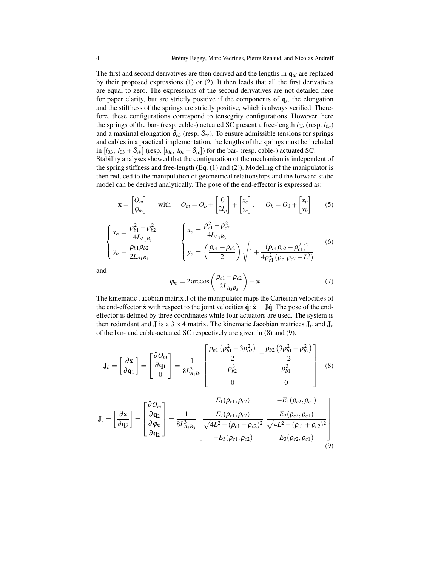The first and second derivatives are then derived and the lengths in  $q_{ui}$  are replaced by their proposed expressions (1) or (2). It then leads that all the first derivatives are equal to zero. The expressions of the second derivatives are not detailed here for paper clarity, but are strictly positive if the components of  $q_i$ , the elongation and the stiffness of the springs are strictly positive, which is always verified. Therefore, these configurations correspond to tensegrity configurations. However, here the springs of the bar- (resp. cable-) actuated SC present a free-length *l*0*<sup>b</sup>* (resp. *l*0*c*) and a maximal elongation  $\delta_{eb}$  (resp.  $\delta_{ec}$ ). To ensure admissible tensions for springs and cables in a practical implementation, the lengths of the springs must be included in  $[l_{0b}, l_{0b} + \delta_{eb}]$  (resp.  $[l_{0c}, l_{0c} + \delta_{ec}]$ ) for the bar- (resp. cable-) actuated SC.

Stability analyses showed that the configuration of the mechanism is independent of the spring stiffness and free-length  $(Eq. (1)$  and  $(2))$ . Modeling of the manipulator is then reduced to the manipulation of geometrical relationships and the forward static model can be derived analytically. The pose of the end-effector is expressed as:

$$
\mathbf{x} = \begin{bmatrix} O_m \\ \varphi_m \end{bmatrix} \quad \text{with} \quad O_m = O_b + \begin{bmatrix} 0 \\ 2l_p \end{bmatrix} + \begin{bmatrix} x_c \\ y_c \end{bmatrix}, \quad O_b = O_0 + \begin{bmatrix} x_b \\ y_b \end{bmatrix} \tag{5}
$$

$$
\begin{cases}\n x_b = \frac{\rho_{b1}^2 - \rho_{b2}^2}{4L_{A_1B_1}} \\
y_b = \frac{\rho_{b1}\rho_{b2}}{2L_{A_1B_1}}\n\end{cases}\n\qquad\n\begin{cases}\n x_c = \frac{\rho_{c1}^2 - \rho_{c2}^2}{4L_{A_3B_3}} \\
y_c = \left(\frac{\rho_{c1} + \rho_{c2}}{2}\right)\sqrt{1 + \frac{(\rho_{c1}\rho_{c2} - \rho_{c1}^2)^2}{4\rho_{c1}^2(\rho_{c1}\rho_{c2} - L^2)}}\n\end{cases}\n\tag{6}
$$

and

$$
\varphi_m = 2 \arccos\left(\frac{\rho_{c1} - \rho_{c2}}{2L_{A_3B_3}}\right) - \pi \tag{7}
$$

The kinematic Jacobian matrix J of the manipulator maps the Cartesian velocities of the end-effector  $\dot{x}$  with respect to the joint velocities  $\dot{q}$ :  $\dot{x} = J\dot{q}$ . The pose of the endeffector is defined by three coordinates while four actuators are used. The system is then redundant and **J** is a 3  $\times$  4 matrix. The kinematic Jacobian matrices  $J_b$  and  $J_c$ of the bar- and cable-actuated SC respectively are given in (8) and (9).

$$
\mathbf{J}_b = \begin{bmatrix} \frac{\partial \mathbf{x}}{\partial \mathbf{q}_1} \end{bmatrix} = \begin{bmatrix} \frac{\partial O_m}{\partial \mathbf{q}_1} \\ 0 \end{bmatrix} = \frac{1}{8L_{A_1B_1}^3} \begin{bmatrix} \frac{\rho_{b1} \left( \rho_{b1}^2 + 3 \rho_{b2}^2 \right)}{2} & -\frac{\rho_{b2} \left( 3 \rho_{b1}^2 + \rho_{b2}^2 \right)}{2} \\ \rho_{b2}^3 & \rho_{b1}^3 \\ 0 & 0 \end{bmatrix}
$$
(8)

$$
\mathbf{J}_{c} = \begin{bmatrix} \frac{\partial \mathbf{x}}{\partial \mathbf{q}_{2}} \end{bmatrix} = \begin{bmatrix} \frac{\partial O_{m}}{\partial \mathbf{q}_{2}} \\ \frac{\partial \varphi_{m}}{\partial \mathbf{q}_{2}} \end{bmatrix} = \frac{1}{8L_{A_{3}B_{3}}^{3}} \begin{bmatrix} E_{1}(\rho_{c1}, \rho_{c2}) & -E_{1}(\rho_{c2}, \rho_{c1}) \\ \frac{E_{2}(\rho_{c1}, \rho_{c2})}{\sqrt{4L^{2} - (\rho_{c1} + \rho_{c2})^{2}}} & \frac{E_{2}(\rho_{c2}, \rho_{c1})}{\sqrt{4L^{2} - (\rho_{c1} + \rho_{c2})^{2}}} \\ -E_{3}(\rho_{c1}, \rho_{c2}) & E_{3}(\rho_{c2}, \rho_{c1}) \end{bmatrix}
$$
(9)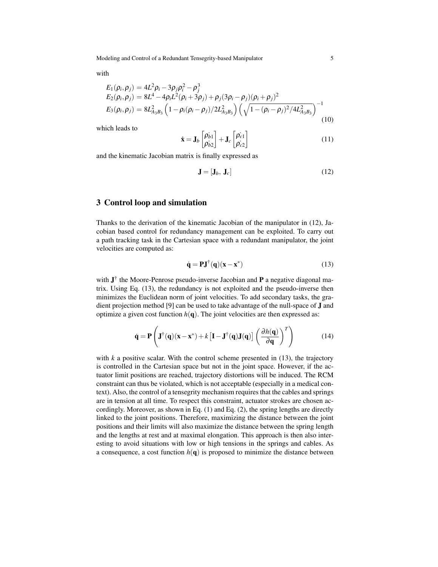Modeling and Control of a Redundant Tensegrity-based Manipulator 5

with

$$
E_1(\rho_i, \rho_j) = 4L^2 \rho_i - 3\rho_j \rho_i^2 - \rho_j^3
$$
  
\n
$$
E_2(\rho_i, \rho_j) = 8L^4 - 4\rho_i L^2(\rho_i + 3\rho_j) + \rho_j (3\rho_i - \rho_j)(\rho_i + \rho_j)^2
$$
  
\n
$$
E_3(\rho_i, \rho_j) = 8L^2_{A_3B_3} \left(1 - \rho_i(\rho_i - \rho_j)/2L^2_{A_3B_3}\right) \left(\sqrt{1 - (\rho_i - \rho_j)^2/4L^2_{A_3B_3}}\right)^{-1}
$$
\n(10)

which leads to

$$
\dot{\mathbf{x}} = \mathbf{J}_b \begin{bmatrix} \rho_{b1} \\ \rho_{b2} \end{bmatrix} + \mathbf{J}_c \begin{bmatrix} \rho_{c1} \\ \rho_{c2} \end{bmatrix}
$$
 (11)

and the kinematic Jacobian matrix is finally expressed as

$$
\mathbf{J} = [\mathbf{J}_b, \mathbf{J}_c] \tag{12}
$$

#### 3 Control loop and simulation

Thanks to the derivation of the kinematic Jacobian of the manipulator in (12), Jacobian based control for redundancy management can be exploited. To carry out a path tracking task in the Cartesian space with a redundant manipulator, the joint velocities are computed as:

$$
\dot{\mathbf{q}} = \mathbf{P}\mathbf{J}^{\dagger}(\mathbf{q})(\mathbf{x} - \mathbf{x}^*)
$$
 (13)

with  $J^{\dagger}$  the Moore-Penrose pseudo-inverse Jacobian and P a negative diagonal matrix. Using Eq. (13), the redundancy is not exploited and the pseudo-inverse then minimizes the Euclidean norm of joint velocities. To add secondary tasks, the gradient projection method [9] can be used to take advantage of the null-space of J and optimize a given cost function  $h(\mathbf{q})$ . The joint velocities are then expressed as:

$$
\dot{\mathbf{q}} = \mathbf{P} \left( \mathbf{J}^{\dagger}(\mathbf{q})(\mathbf{x} - \mathbf{x}^*) + k \left[ \mathbf{I} - \mathbf{J}^{\dagger}(\mathbf{q}) \mathbf{J}(\mathbf{q}) \right] \left( \frac{\partial h(\mathbf{q})}{\partial \mathbf{q}} \right)^T \right)
$$
(14)

with  $k$  a positive scalar. With the control scheme presented in  $(13)$ , the trajectory is controlled in the Cartesian space but not in the joint space. However, if the actuator limit positions are reached, trajectory distortions will be induced. The RCM constraint can thus be violated, which is not acceptable (especially in a medical context). Also, the control of a tensegrity mechanism requires that the cables and springs are in tension at all time. To respect this constraint, actuator strokes are chosen accordingly. Moreover, as shown in Eq. (1) and Eq. (2), the spring lengths are directly linked to the joint positions. Therefore, maximizing the distance between the joint positions and their limits will also maximize the distance between the spring length and the lengths at rest and at maximal elongation. This approach is then also interesting to avoid situations with low or high tensions in the springs and cables. As a consequence, a cost function  $h(\mathbf{q})$  is proposed to minimize the distance between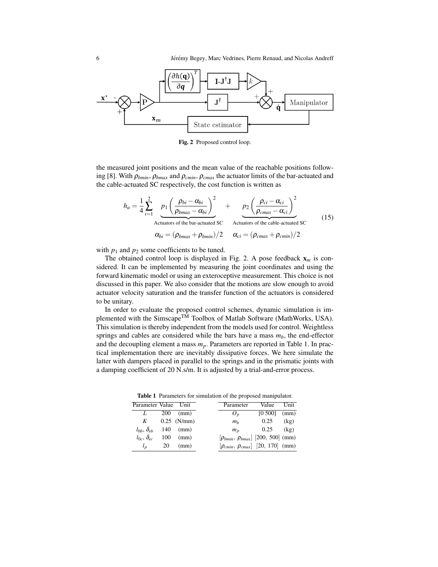

Fig. 2 Proposed control loop.

the measured joint positions and the mean value of the reachable positions following [8]. With ρ*bmin*, ρ*bmax* and ρ*cmin*, ρ*cmax* the actuator limits of the bar-actuated and the cable-actuated SC respectively, the cost function is written as

$$
h_a = \frac{1}{4} \sum_{i=1}^{2} \underbrace{p_1 \left(\frac{\rho_{bi} - \alpha_{bi}}{\rho_{bmax} - \alpha_{bi}}\right)^2}_{\text{Actualors of the bar-actuated SC}} + \underbrace{p_2 \left(\frac{\rho_{ci} - \alpha_{ci}}{\rho_{cmax} - \alpha_{ci}}\right)^2}_{\text{Actualors of the cable-actuated SC}}
$$
\n
$$
\alpha_{bi} = (\rho_{bmax} + \rho_{bmin})/2 \qquad \alpha_{ci} = (\rho_{cmax} + \rho_{cmin})/2 \qquad (15)
$$

with  $p_1$  and  $p_2$  some coefficients to be tuned.

The obtained control loop is displayed in Fig. 2. A pose feedback  $x_m$  is considered. It can be implemented by measuring the joint coordinates and using the forward kinematic model or using an exteroceptive measurement. This choice is not discussed in this paper. We also consider that the motions are slow enough to avoid actuator velocity saturation and the transfer function of the actuators is considered to be unitary.

In order to evaluate the proposed control schemes, dynamic simulation is implemented with the Simscape<sup>TM</sup> Toolbox of Matlab Software (MathWorks, USA). This simulation is thereby independent from the models used for control. Weightless springs and cables are considered while the bars have a mass  $m<sub>b</sub>$ , the end-effector and the decoupling element a mass *mp*. Parameters are reported in Table 1. In practical implementation there are inevitably dissipative forces. We here simulate the latter with dampers placed in parallel to the springs and in the prismatic joints with a damping coefficient of 20 N.s/m. It is adjusted by a trial-and-error process.

Table 1 Parameters for simulation of the proposed manipulator.

| Parameter Value Unit     |            |               | Parameter                                    | Value    | Unit |
|--------------------------|------------|---------------|----------------------------------------------|----------|------|
|                          | <b>200</b> | (mm)          | $\boldsymbol{U}_n$                           | [0, 500] | (mm) |
| K                        |            | $0.25$ (N/mm) | $m_h$                                        | 0.25     | (kg) |
| $l_{0h}$ , $\delta_{eh}$ | 140        | (mm)          | m <sub>n</sub>                               | 0.25     | (kg) |
| $l_{0c}$ , $\delta_{ec}$ | 100        | (mm)          | $[\rho_{bmin}, \rho_{bmax}]$ [200, 500] (mm) |          |      |
| $l_{p}$                  | 20         | (mm)          | $[\rho_{cmin}, \rho_{cmax}]$ [20, 170] (mm)  |          |      |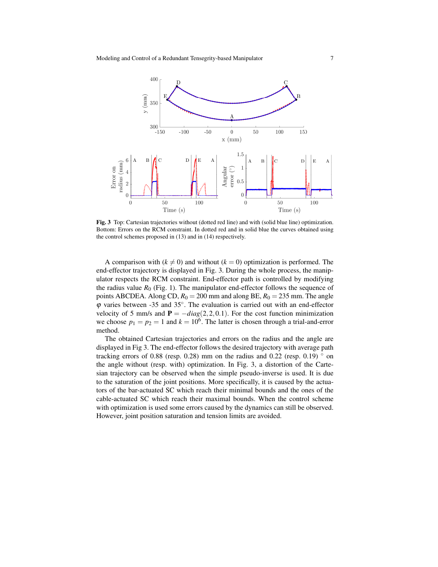

Fig. 3 Top: Cartesian trajectories without (dotted red line) and with (solid blue line) optimization. Bottom: Errors on the RCM constraint. In dotted red and in solid blue the curves obtained using the control schemes proposed in (13) and in (14) respectively.

A comparison with  $(k \neq 0)$  and without  $(k = 0)$  optimization is performed. The end-effector trajectory is displayed in Fig. 3. During the whole process, the manipulator respects the RCM constraint. End-effector path is controlled by modifying the radius value  $R_0$  (Fig. 1). The manipulator end-effector follows the sequence of points ABCDEA. Along CD,  $R_0 = 200$  mm and along BE,  $R_0 = 235$  mm. The angle ϕ varies between -35 and 35◦ . The evaluation is carried out with an end-effector velocity of 5 mm/s and  $P = -diag(2,2,0.1)$ . For the cost function minimization we choose  $p_1 = p_2 = 1$  and  $k = 10^6$ . The latter is chosen through a trial-and-error method.

The obtained Cartesian trajectories and errors on the radius and the angle are displayed in Fig 3. The end-effector follows the desired trajectory with average path tracking errors of 0.88 (resp. 0.28) mm on the radius and 0.22 (resp. 0.19)  $\degree$  on the angle without (resp. with) optimization. In Fig. 3, a distortion of the Cartesian trajectory can be observed when the simple pseudo-inverse is used. It is due to the saturation of the joint positions. More specifically, it is caused by the actuators of the bar-actuated SC which reach their minimal bounds and the ones of the cable-actuated SC which reach their maximal bounds. When the control scheme with optimization is used some errors caused by the dynamics can still be observed. However, joint position saturation and tension limits are avoided.